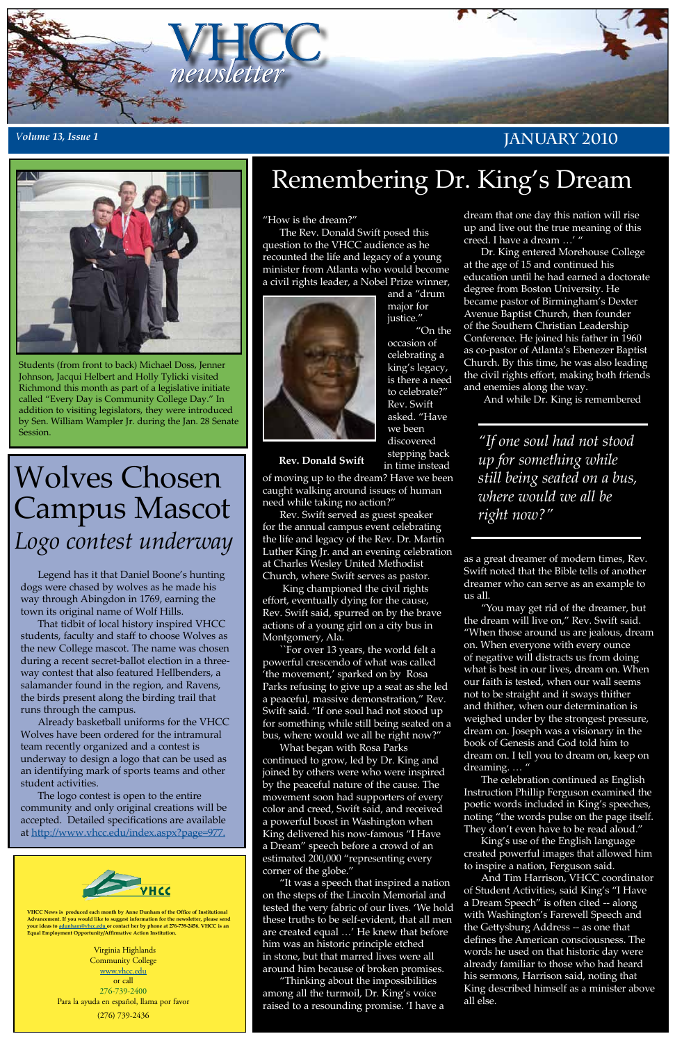

#### *<sup>V</sup>olume 13, Issue 1* **January 2010**



**VHCC News is produced each month by Anne Dunham of the Office of Institutional Advancement. If you would like to suggest information for the newsletter, please send your ideas to [adunham@vhcc.edu or](mailto:adunham@vhcc.edu) contact her by phone at 276-739-2456. VHCC is an Equal Employment Opportunity/Affirmative Action Institution.**

> Virginia Highlands Community College [www.vhcc.edu](http://www.vhcc.edu) or call 276-739-2400 Para la ayuda en español, llama por favor (276) 739-2436

"How is the dream?"

The Rev. Donald Swift posed this question to the VHCC audience as he recounted the life and legacy of a young minister from Atlanta who would become a civil rights leader, a Nobel Prize winner,



and a "drum major for justice." "On the

occasion of celebrating a king's legacy, is there a need to celebrate?" Rev. Swift asked. "Have we been discovered stepping back in time instead

of moving up to the dream? Have we been caught walking around issues of human need while taking no action?"

Rev. Swift served as guest speaker for the annual campus event celebrating the life and legacy of the Rev. Dr. Martin Luther King Jr. and an evening celebration at Charles Wesley United Methodist Church, where Swift serves as pastor.

 King championed the civil rights effort, eventually dying for the cause, Rev. Swift said, spurred on by the brave actions of a young girl on a city bus in Montgomery, Ala.

``For over 13 years, the world felt a powerful crescendo of what was called 'the movement,' sparked on by Rosa Parks refusing to give up a seat as she led a peaceful, massive demonstration," Rev. Swift said. "If one soul had not stood up for something while still being seated on a bus, where would we all be right now?"

"You may get rid of the dreamer, but the dream will live on," Rev. Swift said. "When those around us are jealous, dream on. When everyone with every ounce of negative will distracts us from doing what is best in our lives, dream on. When our faith is tested, when our wall seems not to be straight and it sways thither and thither, when our determination is weighed under by the strongest pressure, dream on. Joseph was a visionary in the book of Genesis and God told him to dream on. I tell you to dream on, keep on dreaming. ...

What began with Rosa Parks continued to grow, led by Dr. King and joined by others were who were inspired by the peaceful nature of the cause. The movement soon had supporters of every color and creed, Swift said, and received a powerful boost in Washington when King delivered his now-famous "I Have a Dream" speech before a crowd of an estimated 200,000 "representing every corner of the globe." "It was a speech that inspired a nation on the steps of the Lincoln Memorial and tested the very fabric of our lives. 'We hold these truths to be self-evident, that all men are created equal …' He knew that before him was an historic principle etched in stone, but that marred lives were all around him because of broken promises.

"Thinking about the impossibilities among all the turmoil, Dr. King's voice raised to a resounding promise. 'I have a dream that one day this nation will rise up and live out the true meaning of this creed. I have a dream …' "

Dr. King entered Morehouse College at the age of 15 and continued his education until he had earned a doctorate degree from Boston University. He became pastor of Birmingham's Dexter Avenue Baptist Church, then founder of the Southern Christian Leadership Conference. He joined his father in 1960 as co-pastor of Atlanta's Ebenezer Baptist Church. By this time, he was also leading the civil rights effort, making both friends and enemies along the way.

Session.<br>**Example 2018** Session.<br>*We been* discovered *in the soul had not stood* discovered *in the soul had not stood up for something while still being seated on a bus, where would we all be right now?"*

And while Dr. King is remembered

as a great dreamer of modern times, Rev. Swift noted that the Bible tells of another dreamer who can serve as an example to us all.

The celebration continued as English Instruction Phillip Ferguson examined the poetic words included in King's speeches, noting "the words pulse on the page itself. They don't even have to be read aloud."

King's use of the English language created powerful images that allowed him to inspire a nation, Ferguson said.

And Tim Harrison, VHCC coordinator of Student Activities, said King's "I Have a Dream Speech" is often cited -- along with Washington's Farewell Speech and the Gettysburg Address -- as one that defines the American consciousness. The words he used on that historic day were already familiar to those who had heard his sermons, Harrison said, noting that King described himself as a minister above all else.

# Remembering Dr. King's Dream

# Wolves Chosen Campus Mascot *Logo contest underway*

Legend has it that Daniel Boone's hunting dogs were chased by wolves as he made his way through Abingdon in 1769, earning the town its original name of Wolf Hills.

That tidbit of local history inspired VHCC students, faculty and staff to choose Wolves as the new College mascot. The name was chosen during a recent secret-ballot election in a threeway contest that also featured Hellbenders, a salamander found in the region, and Ravens, the birds present along the birding trail that runs through the campus.

Already basketball uniforms for the VHCC Wolves have been ordered for the intramural team recently organized and a contest is underway to design a logo that can be used as an identifying mark of sports teams and other student activities.

The logo contest is open to the entire community and only original creations will be accepted. Detailed specifications are available at [http://www.vhcc.edu/index.aspx?page=977.](http://www.vhcc.edu/index.aspx?page=977)



Students (from front to back) Michael Doss, Jenner Johnson, Jacqui Helbert and Holly Tylicki visited Richmond this month as part of a legislative initiate called "Every Day is Community College Day." In addition to visiting legislators, they were introduced by Sen. William Wampler Jr. during the Jan. 28 Senate

**Rev. Donald Swift**